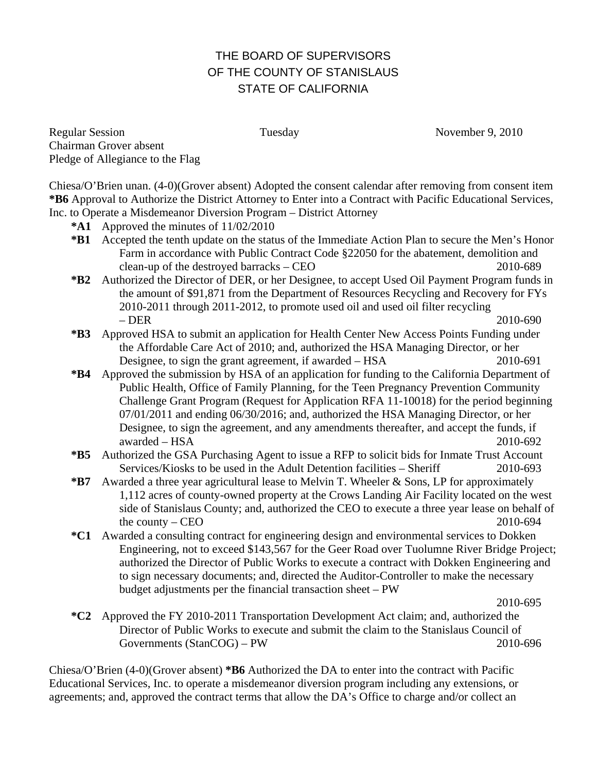# THE BOARD OF SUPERVISORS OF THE COUNTY OF STANISLAUS STATE OF CALIFORNIA

Regular Session Tuesday November 9, 2010 Chairman Grover absent Pledge of Allegiance to the Flag

Chiesa/O'Brien unan. (4-0)(Grover absent) Adopted the consent calendar after removing from consent item **\*B6** Approval to Authorize the District Attorney to Enter into a Contract with Pacific Educational Services, Inc. to Operate a Misdemeanor Diversion Program – District Attorney

- **\*A1** Approved the minutes of 11/02/2010
- **\*B1** Accepted the tenth update on the status of the Immediate Action Plan to secure the Men's Honor Farm in accordance with Public Contract Code §22050 for the abatement, demolition and clean-up of the destroyed barracks – CEO 2010-689
- **\*B2** Authorized the Director of DER, or her Designee, to accept Used Oil Payment Program funds in the amount of \$91,871 from the Department of Resources Recycling and Recovery for FYs 2010-2011 through 2011-2012, to promote used oil and used oil filter recycling – DER 2010-690
- **\*B3** Approved HSA to submit an application for Health Center New Access Points Funding under the Affordable Care Act of 2010; and, authorized the HSA Managing Director, or her Designee, to sign the grant agreement, if awarded – HSA 2010-691
- **\*B4** Approved the submission by HSA of an application for funding to the California Department of Public Health, Office of Family Planning, for the Teen Pregnancy Prevention Community Challenge Grant Program (Request for Application RFA 11-10018) for the period beginning 07/01/2011 and ending 06/30/2016; and, authorized the HSA Managing Director, or her Designee, to sign the agreement, and any amendments thereafter, and accept the funds, if awarded – HSA 2010-692
- **\*B5** Authorized the GSA Purchasing Agent to issue a RFP to solicit bids for Inmate Trust Account Services/Kiosks to be used in the Adult Detention facilities – Sheriff 2010-693
- **\*B7** Awarded a three year agricultural lease to Melvin T. Wheeler & Sons, LP for approximately 1,112 acres of county-owned property at the Crows Landing Air Facility located on the west side of Stanislaus County; and, authorized the CEO to execute a three year lease on behalf of the county – CEO  $2010-694$
- **\*C1** Awarded a consulting contract for engineering design and environmental services to Dokken Engineering, not to exceed \$143,567 for the Geer Road over Tuolumne River Bridge Project; authorized the Director of Public Works to execute a contract with Dokken Engineering and to sign necessary documents; and, directed the Auditor-Controller to make the necessary budget adjustments per the financial transaction sheet – PW

2010-695

**\*C2** Approved the FY 2010-2011 Transportation Development Act claim; and, authorized the Director of Public Works to execute and submit the claim to the Stanislaus Council of Governments (StanCOG) – PW 2010-696

Chiesa/O'Brien (4-0)(Grover absent) **\*B6** Authorized the DA to enter into the contract with Pacific Educational Services, Inc. to operate a misdemeanor diversion program including any extensions, or agreements; and, approved the contract terms that allow the DA's Office to charge and/or collect an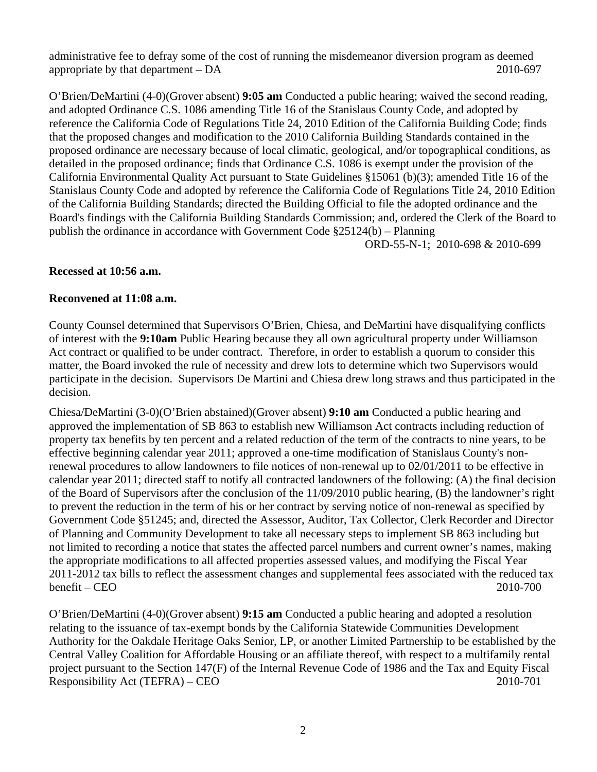administrative fee to defray some of the cost of running the misdemeanor diversion program as deemed appropriate by that department – DA 2010-697

O'Brien/DeMartini (4-0)(Grover absent) **9:05 am** Conducted a public hearing; waived the second reading, and adopted Ordinance C.S. 1086 amending Title 16 of the Stanislaus County Code, and adopted by reference the California Code of Regulations Title 24, 2010 Edition of the California Building Code; finds that the proposed changes and modification to the 2010 California Building Standards contained in the proposed ordinance are necessary because of local climatic, geological, and/or topographical conditions, as detailed in the proposed ordinance; finds that Ordinance C.S. 1086 is exempt under the provision of the California Environmental Quality Act pursuant to State Guidelines §15061 (b)(3); amended Title 16 of the Stanislaus County Code and adopted by reference the California Code of Regulations Title 24, 2010 Edition of the California Building Standards; directed the Building Official to file the adopted ordinance and the Board's findings with the California Building Standards Commission; and, ordered the Clerk of the Board to publish the ordinance in accordance with Government Code §25124(b) – Planning

ORD-55-N-1; 2010-698 & 2010-699

# **Recessed at 10:56 a.m.**

### **Reconvened at 11:08 a.m.**

County Counsel determined that Supervisors O'Brien, Chiesa, and DeMartini have disqualifying conflicts of interest with the **9:10am** Public Hearing because they all own agricultural property under Williamson Act contract or qualified to be under contract. Therefore, in order to establish a quorum to consider this matter, the Board invoked the rule of necessity and drew lots to determine which two Supervisors would participate in the decision. Supervisors De Martini and Chiesa drew long straws and thus participated in the decision.

Chiesa/DeMartini (3-0)(O'Brien abstained)(Grover absent) **9:10 am** Conducted a public hearing and approved the implementation of SB 863 to establish new Williamson Act contracts including reduction of property tax benefits by ten percent and a related reduction of the term of the contracts to nine years, to be effective beginning calendar year 2011; approved a one-time modification of Stanislaus County's nonrenewal procedures to allow landowners to file notices of non-renewal up to 02/01/2011 to be effective in calendar year 2011; directed staff to notify all contracted landowners of the following: (A) the final decision of the Board of Supervisors after the conclusion of the 11/09/2010 public hearing, (B) the landowner's right to prevent the reduction in the term of his or her contract by serving notice of non-renewal as specified by Government Code §51245; and, directed the Assessor, Auditor, Tax Collector, Clerk Recorder and Director of Planning and Community Development to take all necessary steps to implement SB 863 including but not limited to recording a notice that states the affected parcel numbers and current owner's names, making the appropriate modifications to all affected properties assessed values, and modifying the Fiscal Year 2011-2012 tax bills to reflect the assessment changes and supplemental fees associated with the reduced tax benefit – CEO 2010-700

O'Brien/DeMartini (4-0)(Grover absent) **9:15 am** Conducted a public hearing and adopted a resolution relating to the issuance of tax-exempt bonds by the California Statewide Communities Development Authority for the Oakdale Heritage Oaks Senior, LP, or another Limited Partnership to be established by the Central Valley Coalition for Affordable Housing or an affiliate thereof, with respect to a multifamily rental project pursuant to the Section 147(F) of the Internal Revenue Code of 1986 and the Tax and Equity Fiscal Responsibility Act (TEFRA) – CEO 2010-701